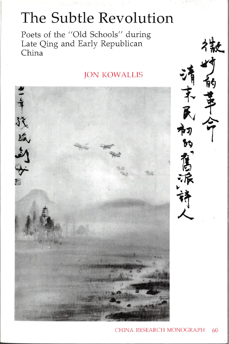# The Subtle Revolution

Poets of the "Old Schools" during Late Qing and Early Republican China

### **JON KOWALLIS**



Ŕ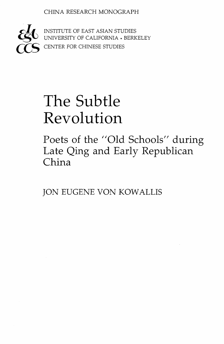CHINA RESEARCH MONOGRAPH



 $\mathcal{L}$  INSTITUTE OF EAST ASIAN STUDIES **EGO** INSTITUTE OF EAST ASIAN STUDIES<br>COUNIVERSITY OF CALIFORNIA • BERKELEY CENTER FOR CHINESE STUDIES

# The Subtle Revolution

Poets of the "Old Schools" during Late Qing and Early Republican China

JON EUGENE VON KOWALLIS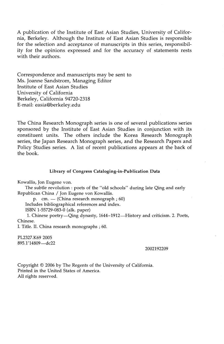A publication of the Institute of East Asian Studies, University of California, Berkeley. Although the Institute of East Asian Studies is responsible for the selection and acceptance of manuscripts in this series, responsibility for the opinions expressed and for the accuracy of statements rests with their authors.

Correspondence and manuscripts may be sent to Ms. Joanne Sandstrom, Managing Editor Institute of East Asian Studies University of California Berkeley, California 94720-2318 E-mail: easia@berkeley.edu

The China Research Monograph series is one of several publications series sponsored by the Institute of East Asian Studies in conjunction with its constituent units. The others include the Korea Research Monograph series, the Japan Research Monograph series, and the Research Papers and Policy Studies series. A list of recent publications appears at the back of the book.

#### **Library of** Congress **Cataloging-in-Publication Data**

Kowallis, Jon Eugene von.

The subtle revolution : poets of the "old schools" during late Qing and early Republican China / Jon Eugene von Kowallis.

p. cm.  $-$  (China research monograph ; 60)

Includes bibliographical references and index.

ISBN 1-55729-083-0 (alk. paper)

1. Chinese poetry—Qing dynasty, 1644-1912—History and criticism. 2. Poets, Chinese.

I. Title. II. China research monographs ; 60.

PL2327.K69 2005 895.1'14809-dc22

#### 2002192209

Copyright © 2006 by The Regents of the University of California. Printed in the United States of America. All rights reserved.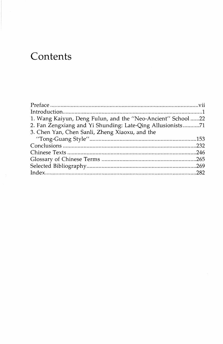# Contents

| 1. Wang Kaiyun, Deng Fulun, and the "Neo-Ancient" School 22 |  |
|-------------------------------------------------------------|--|
| 2. Fan Zengxiang and Yi Shunding: Late-Qing Allusionists71  |  |
| 3. Chen Yan, Chen Sanli, Zheng Xiaoxu, and the              |  |
|                                                             |  |
|                                                             |  |
|                                                             |  |
|                                                             |  |
|                                                             |  |
|                                                             |  |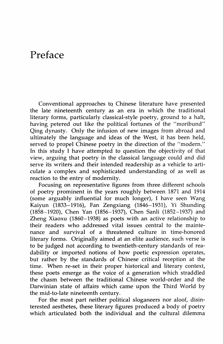### **Preface**

Conventional approaches tq Chinese literature have presented the late nineteenth century as an era in which the traditional literary forms, particularly classical-style poetry, ground to a halt, having petered out like the political fortunes of the "moribund" Qing dynasty. Only the infusion of new images from abroad and ultimately the language and ideas of the West, it has been held, served to propel Chinese poetry in the direction of the "modern." In this study I have attempted to question the objectivity of that view, arguing that poetry in the classical language could and did serve its writers and their intended readership as a vehicle to articulate a complex and sophisticated understanding of as well as reaction to the entry of modernity.

Focusing on representative figures from three different schools of poetry prominent in the years roughly between 1871 and 1914 (some arguably influential for much longer), I have seen Wang Kaiyun (1833-1916), Fan Zengxiang (1846-1931), Yi Shunding (1858-1920), Chen Yan (1856-1937), Chen Sanli (1852-1937) and Zheng Xiaoxu (1860-1938) as poets with an active relationship to their readers who addressed vital issues central to the maintenance and survival of a threatened culture in time-honored literary forms. Originally aimed at an elite audience, such verse is to be judged not according to twentieth-century standards of readability or imported notions of how poetic expression operates, but rather by the standards of Chinese critical reception at the time. When re-set in their proper historical and literary context, these poets emerge as the voice of a generation which straddled the chasm between the traditional Chinese world-order and the Darwinian state of affairs which carne upon the Third World by the mid-to-late nineteenth century.

For the most part neither political sloganeers nor aloof, disinterested aesthetes, these literary figures produced a body of poetry which articulated both the individual and the cultural dilemma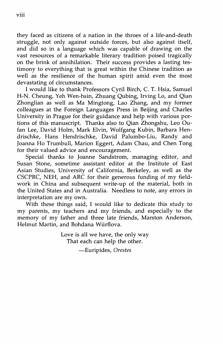they faced as citizens of a nation in the throes of a life-and-death struggle, not only against outside forces, but also against itself, and did so in a language which was capable of drawing on the vast resources of a remarkable literary tradition poised tragically on the brink of annihilation. Their success provides a lasting testimony to everything that is great within the Chinese tradition as well as the resilience of the human spirit amid even the most devastating of circumstances.

I would like to thank Professors Cyril Birch, C. T. Hsia, Samuel H-N. Cheung, Yeh Wen-hsin, Zhuang Qubing, Irving Lo, and Qian Zhonglian as well as Ma Mingtong, Lao Zhang, and my former colleagues at the Foreign Languages Press in Beijing and Charles University in Prague for their guidance and help with various portions of this manuscript. Thanks also to Qian Zhongshu, Leo Oufan Lee, David Holm, Mark Elvin, Wolfgang Kubin, Barbara Hendrischke, Hans Hendrischke, David Palumbo-Liu, Randy and Joanna Ho Trumbull, Marion Eggert, Adam Chau, and Chen Tong for their valued advice and encouragement.

Special thanks to Joanne Sandstrom, managing editor, and Susan Stone, sometime assistant editor at the Institute of East Asian Studies, University of California, Berkeley, as well as the CSCPRC, NEH, and ARC for their generous funding of my fieldwork in China and subsequent write-up of the material, both in the United States and in Australia. Needless to note, any errors in interpretation are my own.

With these things said, I would like to dedicate this study to my parents, my teachers and my friends, and especially to the memory of my father and three late friends, Marston Anderson, Helmut Martin, and Bohdana Wurflova.

> Love is all we have, the only way That each can help the other.

> > -Euripides, *Orestes*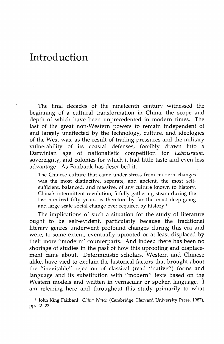### **Introduction**

The final decades of the nineteenth century witnessed the beginning of a cultural transformation in China, the scope and depth of which have been unprecedented in modern times. The last of the great non-Western powers to remain independent of and largely unaffected by the technology, culture, and ideologies of the West was, as the result of trading pressures and the military vulnerability of its coastal defenses, forcibly drawn into a Darwinian age of nationalistic competition for *Lebensraum,*  sovereignty, and colonies for which it had little taste and even less advantage. As Fairbank has described it,

The Chinese culture that came under stress from modern changes was the most distinctive, separate, and ancient, the most selfsufficient, balanced, and massive, of any culture known to history. China's intermittent revolution, fitfully gathering steam during the last hundred fifty years, is therefore by far the most deep-going and large-scale social change ever required by history.<sup>1</sup>

The implications of such a situation for the study of literature ought to be self-evident, particularly because the traditional literary genres underwent profound changes during this era and were, to some extent, eventually uprooted or at least displaced by their more "modern" counterparts. And indeed there has been no shortage of studies in the past of how this uprooting and displacement came about. Deterministic scholars, Western and Chinese alike, have vied to explain the historical factors that brought about the "inevitable" rejection of classical (read "native") forms and language and its substitution with "modern" texts based on the Western models and written in vernacular or spoken language. I am referring here and throughout this study primarily to what

<sup>1</sup> John King Fairbank, *China Watch* (Cambridge: Harvard University Press, 1987), pp. 22-23.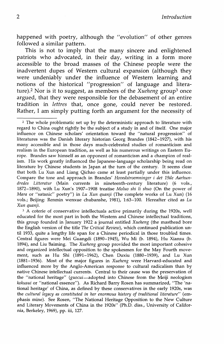happened with poetry, although the "evolution" of other genres followed a similar pattern.

This is not to imply that the many sincere and enlightened patriots who advocated, in their day, writing in a form more accessible to the broad masses of the Chinese people were the inadvertent dupes of Western cultural expansion (although they were undeniably under the influence of Western learning and notions of the historical "progression" of language and literature).2 Nor is it to suggest, as members of the *Xueheng* group3 once argued, that they were responsible for the debasement of an entire tradition in *lettres* that, once gone, could never be restored. Rather, I am simply putting forth an argument for the necessity of

<sup>2</sup> The whole problematic set up by the deterministic approach to literature with regard to China ought rightly be the subject of a study in and of itself. One major influence on Chinese scholars' orientation toward the "natural progression" of literatures was the Danish literary historian Georg Brandes (1842-1927), with his many accessible and in those days much-celebrated studies of romanticism and realism in the European tradition, as well as his numerous writings on Eastern Europe. Brandes saw himself as an opponent of romanticism and a champion of realism. His work greatly influenced the Japanese-language scholarship being read on literature by Chinese students in Japan at the turn of the century. It seems clear that both Lu Xun and Liang Qichao came at least partially under this influence. Compare the tone and. approach in Brandes' *Hovedstroemninger i det 19de Aarhundredes Litteratur* (Main currents in nineteenth-century literature) (6 vols., 1872-1890), with Lu Xun's 1907-1908 treatise Moluo shi li shuo (On the power of *Mara* or "satanic" poetry") in *Lu Xun quanji* (The complete works of Lu Xun) (16 vols.; Beijing: Renmin wenxue chubanshe, 1981), 1:63-100. Hereafter cited as *Lu Xun quanji.* 

<sup>3</sup> A coterie of conservative intellectuals active primarily during the 1920s, well educated for the most part in both the Western and Chinese intellectual traditions, this group founded in January 1922 a journal entitled *Xueheng* (the masthead bore the English version of the title *The Critical Review),* which continued publication until 1933, quite a lengthy life span for a Chinese periodical in those troubled times. Central figures were Mei Guangdi (1890-1945), Wu Mi (b. 1894), Hu Xiansu (b. 1894), and Liu Baiming. The *Xueheng* group provided the most important cohesive and organized intellectual opposition to the spokesmen for the May Fourth movement, such as Hu Shi (1891-1962), Chen Duxiu (1880-1939), and Lu Xun (1881-1936). Most of the major figures in *Xueheng* were Harvard-educated and influenced more by the Anglo-American response to cultural radicalism than by native Chinese intellectual currents. Central to their cause was the preservation of the "national heritage" (guocui-adopted into Chinese from the Meiji neologism *kokusui* or "national essence"). As Richard Barry Rosen has summarized, "The 'national heritage' of China, as defined by these conservatives in the early 1920s, was the *cultural legacy as constituted in her enormous history of traditional literature"* (emphasis mine). See Rosen, "The National Heritage Opposition to the New Culture and Literary Movements of China in the 1920s" (Ph.D. diss., University of California, Berkeley, 1969), pp. iii, 127.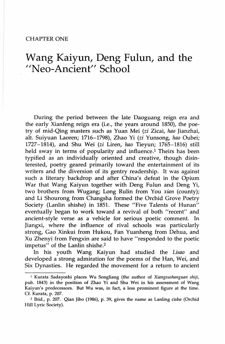#### CHAPTER ONE

# Wang Kaiyun, Deng Fulun, and the "Neo-Ancient" School

During the period between the late Daoguang reign era and the early Xianfeng reign era (i.e., the years around 1850), the poetry of mid-Qing masters such as Yuan Mei *(zi* Zicai, *hao* Jianzhai, alt. Suiyuan Laoren; 1716-1798), Zhao Yi *(zi* Yunsong, *hao* Oubei; 1727-1814), and Shu Wei *(zi* Liren, *hao* Tieyun; 1765-1816) still held sway in terms of popularity and influence.<sup>1</sup> Theirs has been typified as an individually oriented and creative, though disinterested, poetry geared primarily toward the entertainment of its writers and the diversion of its gentry readership. It was against such a literary backdrop and after China's defeat in the Opium War that Wang Kaiyun together with Deng Fulun and Deng Yi, two brothers from Wugang; Long Rulin from You *xian* (county); and Li Shourong from Changsha formed the Orchid Grove Poetry Society (Lanlin shishe) in 1851. These "Five Talents of Hunan" eventually began to work toward a revival of both "recent" and ancient-style verse as a vehicle for serious poetic comment. In Jiangxi, where the influence of rival schools was particularly strong, Gao Xinkui from Hukou, Fan Yuanheng from Dehua, and Xu Zhenyi from Fengxin are said to have "responded to the poetic impetus" of the Lanlin shishe.<sup>2</sup>

In his youth Wang Kaiyun had studied the *Lisao* and developed a strong admiration for the poems of the Han, Wei, and Six Dynasties. He regarded the movement for a return to ancient

<sup>1</sup> Kurata Sadayoshi places Wu Songliang (the author of *Xiangsushanguan* shiji, pub. 1843) in the position of Zhao Yi and Shu Wei in his assessment of Wang Kaiyun's predecessors. But Wu was, in fact, a less prominent figure at the time. Cf. Kurata, p. 207.

<sup>2</sup> Ibid., p. 207. Qian Jibo (1986), p. 39, gives the name as Lanling cishe (Orchid Hill Lyric Society).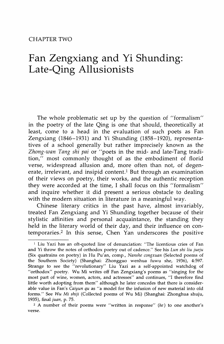### CHAPTER TWO

# Fan Zengxiang and Yi Shunding: Late-Qing Allusionists

The whole problematic set up by the question of "formalism" in the poetry of the late Qing is one that should, theoretically at least, come to a head in the evaluation of such poets as Fan Zengxiang (1846-1931) and Yi Shunding (1858-1920), representatives of a school generally but rather imprecisely known as the *Zhang-wan Tang shi pai* or "poets in the mid- and late-Tang tradition," most commonly thought of as the embodiment of florid verse, widespread allusion and, more often than not, of degenerate, irrelevant, and insipid content.<sup>1</sup> But through an examination of their views on poetry, their works, and the authentic reception they were accorded at the time, I shall focus on this "formalism" and inquire whether it did present a serious obstacle to dealing with the modern situation in literature in a meaningful way.

Chinese literary critics in the past have, almost invariably, treated Fan Zengxiang and Yi Shunding together because of their stylistic affinities and personal acquaintance, the standing they held in the literary world of their day, and their influence on contemporaries.2 In this sense, Chen Yan underscores the positive

 $<sup>1</sup>$  Liu Yazi has an oft-quoted line of denunciation: "The licentious cries of Fan</sup> and Yi throw the notes of orthodox poetry out of cadence." See his *Lun shi liu jueju*  (Six quatrains on poetry) in Hu Pu'an, comp., *Nanshe congxuan* (Selected poems of the Southern Society) (Shanghai: Zhongguo wenhua fuwu she, 1936), 4:597. Strange to see the "revolutionary" Liu Yazi as a self-appointed watchdog of "orthodox" poetry. Wu Mi writes off Fan Zengxiang's poems as "singing for the most part of wine, women, actors, and actresses" and continues, "I therefore find little worth adopting from them" although he later concedes that there is considerable value in Fan's *Caiyun qu* as "a model for the infusion of new material into old forms." See *Wu Mi shiji* (Collected poems of Wu Mi) (Shanghai: Zhonghua shuju, 1935), final *juan,* p. 75.

<sup>2</sup> A number of their poems were "written in response" *(he)* to one another's verse.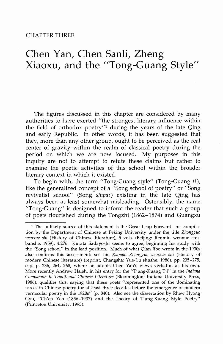# **Chen Yan, Chen Sanli, Zheng Xiaoxu, and the "Tong-Guang Style"**

The figures discussed in this chapter are considered by many authorities to have exerted "the strongest literary influence within the field of orthodox poetry"l during the years of the late Qing and early Republic. In other words, it has been suggested that they, more than any other group, ought to be perceived as the real center of gravity within the realm of classical poetry during the period on which we are now focused. My purposes in this inquiry are not to attempt to refute these claims but rather to examine the poetic activities of this school within the broader literary context in which it existed.

To begin with, the term "Tong-Guang style" (Tong-Guang ti ), like the generalized concept of a "Song school of poetry" or "Song revivalist school" (Song shipai) existing in the late Qing has always been at least somewhat misleading. Ostensibly, the name "Tong-Guang" is designed to inform the reader that such a group of poets flourished during the Tongzhi (1862-1874) and Guangxu

<sup>1</sup> The unlikely source of this statement is the Great Leap Forward-era compilation by the Department of Chinese at Peking University under the title *Zhongguo wenxue shi* (History of Chinese literature), 5 vols. (Beijing: Renmin wenxue chubanshe, 1959), 4:276. Kurata Sadayoshi seems to agree, beginning his study with the "Song school" in the lead position. Much of what Qian Jibo wrote in the 1930s also confirms this assessment: see his *Xiandai Zhongguo wenxue shi* (History of modern Chinese literature) (reprint, Changsha: Yue-Lu shushe, 1986), pp. 235-275, esp. p. 236, 264, 268, where he adopts Chen Yan's views verbatim as his own. More recently Andrew Hsieh, in his entry for the "T'ung-Kuang T'i" in the *Indiana Companion to Traditional Chinese Literature* (Bloomington: Indiana University Press, 1986), qualifies this, saying that these poets "represented one of the dominating forces in Chinese poetry for at least three decades before the emergence of modern vernacular poetry in the 1920s" (p. 840). Also see the dissertation by Rhew Hyong Gyu, "Ch'en Yen (1856-1937) and the Theory of T'ung-Kuang Style Poetry" (Princeton University, 1993).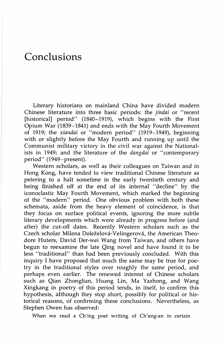# **Conclusions**

Literary historians on mainland China have divided modern Chinese literature into three basic periods: the *jindai* or "recent [historical] period" (1840–1919), which begins with the First Opium War (1839-1841) and ends with the May Fourth Movement of 1919; the *xiandai* or "modern period" (1919-1949), beginning with or slightly before the May Fourth and running up until the Communist military victory in the civil war against the Nationalists in 1949; and the literature of the *dangdai* or "contemporary period" (1949-present).

Western scholars, as well as their colleagues on Taiwan and in Hong Kong, have tended to view traditional Chinese literature as petering to a halt sometime in the early twentieth century and being finished off at the end of its internal "decline" by the iconoclastic May Fourth Movement, which marked the beginning of the "modern" period. One obvious problem with both these schemata, aside from the heavy element of coincidence, is that they focus on surface political events, ignoring the more subtle literary developments which were already in progress before (and after) the cut-off dates. Recently Western scholars such as the Czech scholar Milena Doleželová-Velingerová, the American Theodore Huters, David Der-wei Wang from Taiwan, and others have begun to reexamine the late Qing novel and have found it to be less "traditional" than had been previously concluded. With this inquiry I have proposed that much the same may be true for poetry in the traditional styles over roughly the same period, and perhaps even earlier. The renewed interest of Chinese scholars such as Qian Zhonglian, Huang Lin, Ma Yazhong, and Wang Xingkang in poetry of this period tends, in itself, to confirm this hypothesis, although they stop short, possibly for political or historical reasons, of confirming these conclusions. Nevertheless, as Stephen Owen has observed:

When we read a Ch'ing poet writing of Ch'ang-an in certain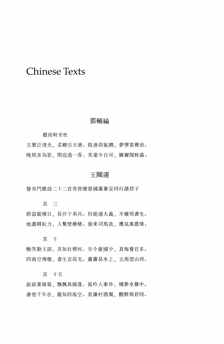### **Chinese Texts**

### 鄧輔綸

聽雨軒坐秋

文簟泛清光、柔颸引玉塘。陰連荷氣潤、夢墜葉聲涼。 晚照多為影,閑庭過一香。芙蕖今自可,憐爾閱秋霜。

### 干闥渾

發祁門雜詩二十二首寄曾總督國藩兼呈同行諸君子

其 三

群盜縱橫日、長沙子弟兵。但能通大義、不廢用書生。 地盡耕耘力、人驚壁壘精。後來司馬法、應見寓農情。

其 十

慟哭勤王詔、其如社稷何。至今憂國少、真悔養官多。 四海空傳檄, 書生豈荷戈。蕭蕭易水上, 立馬望山河。

其 十五

寂寂重陽菊、飄飄異國蓬。孤吟人事外、殘夢水聲中。 書卷千年在,親知四海空。莫嫌村酒濁,醒醉與君同。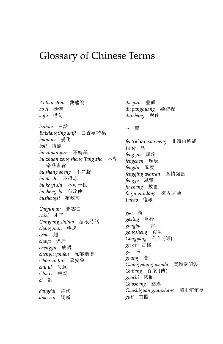# **Glossary of Chinese Terms**

Ai lian shuo 愛蓮說 ao ti 拗體 aoiu 拗句 baihua 白話 Baixiangting shiji 白香亭詩集 bianhua 變化 boli 博麗 bu zhuan yun 不轉韻 bu zhuan zong sheng Tang zhe 不專 宗盛唐者 bu shang sheng 不尚聲 bu de zhi 不得志 bu ke yi shi 不可一世 buzhengshi 布政使 buzhengsi 布政司 Caiyun qu 彩雲曲 caizi 才子 Canglang shihua 滄浪詩話 *changyuan* 暢遠  $chao$  超 chaya 槎牙 chengyu 成語 沉郁幽憤 chenyu youfen Chou'an hui 籌安會 *chu yi* 初意 Chu ci 楚詞 ci 詞 dangdai 當代 diao xin 調新

die yun - 疊韻 du panghuang 獨彷徨 duizhang 對仗 爾  $er$ fei Yishan suo neng 非遺山所能 *Feng* 風 feng yu 諷諭 fengchen 逢辰 fengdu 風度 fengqing wanran 風情宛然 fengya 風雅 fu chang 敷鬯 fu gu yundong 復古運動 Fubao 復報 gao 高 gexing 歌行 gongbu 工部 gongsheng 貢生 Gongyang 公羊 (傳) gu ge 古格 gu 古 guang 廣 Guangyatang wenda 廣雅堂問答 Guliang 谷梁 (傳) guochi 國恥 Guoshang 國殤 Guoshiguan guanzhang 國史舘舘長 *guti* 古體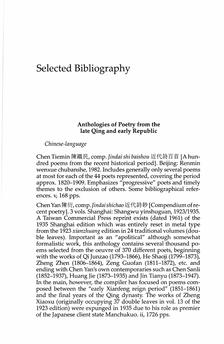# Selected Bibliography

### Anthologies of Poetry from the late Qing and early Republic

#### *Chinese-language*

Chen Tiemin 陳鐵民, comp. *Jindai shi baishou* 近代詩百首 [A hundred poems from the recent historical period]. Beijing: Renmin wenxue chubanshe, 1982. Includes generally only several poems at most for each of the 44 poets represented, covering the period approx. 1820-1909. Emphasizes "progressive" poets and timely themes to the exclusion of others. Some bibliographical references. v, 168 pps.

Chen Yan 陳衍, comp. Jindai shichao 近代詩鈔 [Compendium of recent poetry]. 3 vols. Shanghai: Shangwu yinshuguan, 1923/1935. A Taiwan Commercial Press reprint exists (dated 1961) of the 1935 Shanghai edition which was entirely reset in metal type from the 1923 *xianzhuang* edition in 24 traditional volumes ( double leaves). Important as an "apolitical" although somewhat formalistic work, this anthology contains several thousand poems selected from the oeuvre of 370 different poets, beginning with the works of Qi Junzao (1793-1866), He Shaoji (1799-1873), Zheng Zhen (1806-1864), Zeng Guofan (1811-1872), etc. and ending with Chen Yan's own contemporaries such as Chen Sanli (1852-1937), Huang Jie (1873-1935) and Jin Tianyu (1873-1947). In the main, however, the compiler has focused on poems composed between the "early Xianfeng reign period" (1851-1861) and the final years of the Qing dynasty. The works of Zheng Xiaoxu (originally occupying 37 double leaves in vol. 13 of the 1923 edition) were expunged in 1935 due to his role as premier of the Japanese client state Manchukuo. ii, 1726 pps.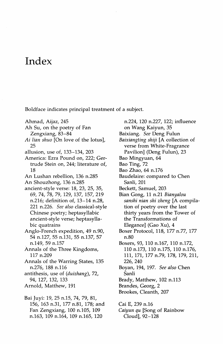## **Index**

Boldface indicates principal treatment of a subject.

Ahmad, Aijaz, 245

- Ah Su, on the poetry of Fan Zengxiang, 83-84
- *Ai lian shuo* [On love of the lotus], 25
- allusion, use of, 133-134, 203
- America: Ezra Pound on, 222; Gertrude Stein on, 244; literature of, 18
- An Lushan rebellion, 136 n.285
- An Shouzhong, 136 n.285
- ancient-style verse: 18, 23, 25, 35, 69, 74, 78, 79, 129, 137, 157, 219 n.216; definition of, 13-14 n.28, 221 n.226. *See also* classical-style Chinese poetry; heptasyllabic ancient-style verse; heptasyllabic quatrains
- Anglo-French expedition, 49 n.90, 54 n.127, 55 n.131, 55 n.137, 57 n.149, 59 n.157

Annals of the Three Kingdoms, 117 n.209

- Annals of the Warring States, 135 n.276, 188 n.116
- antithesis, use of *(duizhang),* 72, 94, 127, 132, 133
- Arnold, Matthew, 191
- Bai Juyi: 19, 25 n.15, 74, 79, 81, 156, 163 n.31, 177 n.81, 178; and Fan Zengxiang, 100 n.105, 109 n.163, 109 n.164, 109 n.165, 120
- n.224, 120 n.227, 122; influence
- on Wang Kaiyun, 35
- Baixiang. *See* Deng Fulun
- *Baixiangting shiji* [A collection of verse from White-Fragrance
	- Pavilion] (Deng Fulun), 23
- Bao Mingyuan, 64
- Bao Ting, 72
- Bao Zhao, 64 n.176
- Baudelaire: compared to Chen Sanli, 201
- Beckett, Samuel, 203

Bian Gong, 11 n.21 *Bianyalou sanshi nian shi zheng* [A compilation of poetry over the last thirty years from the Tower of the Transformations of Elegance] (Gao Xu), 4

Boxer Protocol, 118, 177 n.77, 177 n.80

Boxers, 93, 110 n.167, 110 n.172, 110 n.173, 110 n.175, 110 n.176, 111, 171, 177 n.79, 178, 179, 211, 226, 240

- Boyan, 194, 197. *See also* Chen Sanli
- Brady, Matthew, 102 n.113
- Brandes, Georg, 2
- Brookes, Cleanth, 207

Cai E, 239 n.16

*Caiyun qu* [Song of Rainbow Cloud], 92-128